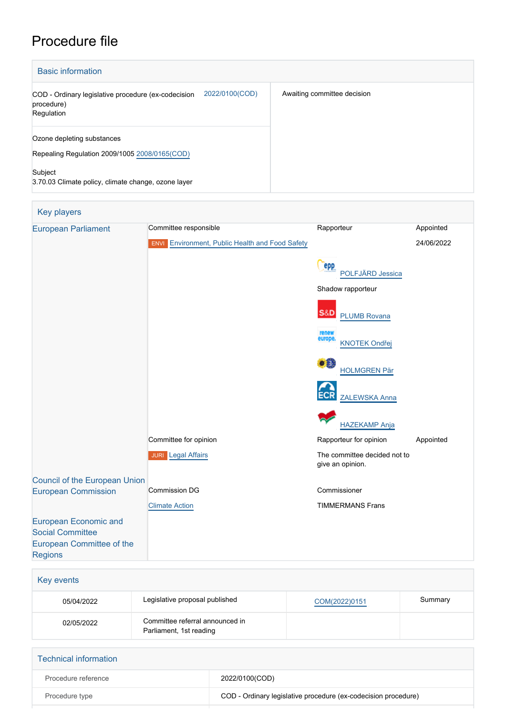## Procedure file

| <b>Basic information</b>                                                                          |                             |  |  |  |  |
|---------------------------------------------------------------------------------------------------|-----------------------------|--|--|--|--|
| 2022/0100(COD)<br>COD - Ordinary legislative procedure (ex-codecision<br>procedure)<br>Regulation | Awaiting committee decision |  |  |  |  |
| Ozone depleting substances<br>Repealing Regulation 2009/1005 2008/0165(COD)                       |                             |  |  |  |  |
| Subject<br>3.70.03 Climate policy, climate change, ozone layer                                    |                             |  |  |  |  |



| <b>Technical information</b> |                                                                |
|------------------------------|----------------------------------------------------------------|
| Procedure reference          | 2022/0100(COD)                                                 |
| Procedure type               | COD - Ordinary legislative procedure (ex-codecision procedure) |
|                              |                                                                |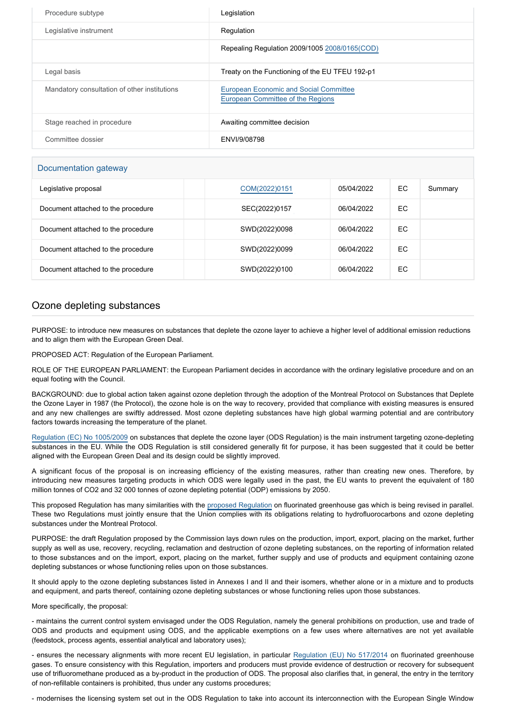| Procedure subtype                            | Legislation                                                                        |
|----------------------------------------------|------------------------------------------------------------------------------------|
| Legislative instrument                       | Regulation                                                                         |
|                                              | Repealing Regulation 2009/1005 2008/0165(COD)                                      |
| Legal basis                                  | Treaty on the Functioning of the EU TFEU 192-p1                                    |
| Mandatory consultation of other institutions | <b>European Economic and Social Committee</b><br>European Committee of the Regions |
| Stage reached in procedure                   | Awaiting committee decision                                                        |
| Committee dossier                            | ENVI/9/08798                                                                       |

## Documentation gateway

| Legislative proposal               | COM(2022)0151 | 05/04/2022 | EC | Summary |
|------------------------------------|---------------|------------|----|---------|
| Document attached to the procedure | SEC(2022)0157 | 06/04/2022 | EC |         |
| Document attached to the procedure | SWD(2022)0098 | 06/04/2022 | EC |         |
| Document attached to the procedure | SWD(2022)0099 | 06/04/2022 | EC |         |
| Document attached to the procedure | SWD(2022)0100 | 06/04/2022 | EC |         |

## Ozone depleting substances

PURPOSE: to introduce new measures on substances that deplete the ozone layer to achieve a higher level of additional emission reductions and to align them with the European Green Deal.

PROPOSED ACT: Regulation of the European Parliament.

ROLE OF THE EUROPEAN PARLIAMENT: the European Parliament decides in accordance with the ordinary legislative procedure and on an equal footing with the Council.

BACKGROUND: due to global action taken against ozone depletion through the adoption of the Montreal Protocol on Substances that Deplete the Ozone Layer in 1987 (the Protocol), the ozone hole is on the way to recovery, provided that compliance with existing measures is ensured and any new challenges are swiftly addressed. Most ozone depleting substances have high global warming potential and are contributory factors towards increasing the temperature of the planet.

[Regulation \(EC\) No 1005/2009](https://eur-lex.europa.eu/legal-content/EN/TXT/?uri=CELEX%3A32009R1005&qid=1650625871135) on substances that deplete the ozone layer (ODS Regulation) is the main instrument targeting ozone-depleting substances in the EU. While the ODS Regulation is still considered generally fit for purpose, it has been suggested that it could be better aligned with the European Green Deal and its design could be slightly improved.

A significant focus of the proposal is on increasing efficiency of the existing measures, rather than creating new ones. Therefore, by introducing new measures targeting products in which ODS were legally used in the past, the EU wants to prevent the equivalent of 180 million tonnes of CO2 and 32 000 tonnes of ozone depleting potential (ODP) emissions by 2050.

This proposed Regulation has many similarities with the [proposed Regulation](https://oeil.secure.europarl.europa.eu/oeil/popups/ficheprocedure.do?lang=en&reference=2022/0099(COD)) on fluorinated greenhouse gas which is being revised in parallel. These two Regulations must jointly ensure that the Union complies with its obligations relating to hydrofluorocarbons and ozone depleting substances under the Montreal Protocol.

PURPOSE: the draft Regulation proposed by the Commission lays down rules on the production, import, export, placing on the market, further supply as well as use, recovery, recycling, reclamation and destruction of ozone depleting substances, on the reporting of information related to those substances and on the import, export, placing on the market, further supply and use of products and equipment containing ozone depleting substances or whose functioning relies upon on those substances.

It should apply to the ozone depleting substances listed in Annexes I and II and their isomers, whether alone or in a mixture and to products and equipment, and parts thereof, containing ozone depleting substances or whose functioning relies upon those substances.

## More specifically, the proposal:

- maintains the current control system envisaged under the ODS Regulation, namely the general prohibitions on production, use and trade of ODS and products and equipment using ODS, and the applicable exemptions on a few uses where alternatives are not yet available (feedstock, process agents, essential analytical and laboratory uses);

- ensures the necessary alignments with more recent EU legislation, in particular [Regulation \(EU\) No 517/2014](https://eur-lex.europa.eu/legal-content/EN/TXT/?uri=CELEX%3A32014R0517&qid=1650626205512) on fluorinated greenhouse gases. To ensure consistency with this Regulation, importers and producers must provide evidence of destruction or recovery for subsequent use of trifluoromethane produced as a by-product in the production of ODS. The proposal also clarifies that, in general, the entry in the territory of non-refillable containers is prohibited, thus under any customs procedures;

- modernises the licensing system set out in the ODS Regulation to take into account its interconnection with the European Single Window